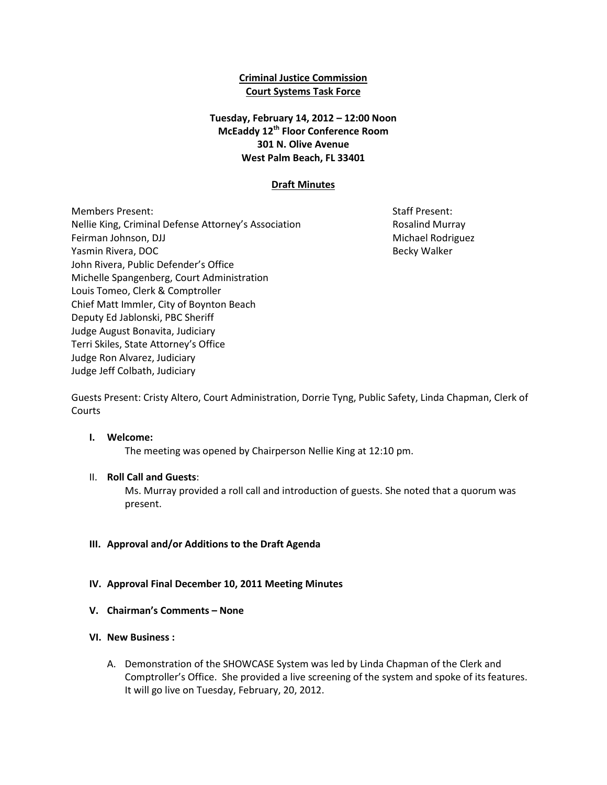### **Criminal Justice Commission Court Systems Task Force**

## **Tuesday, February 14, 2012 – 12:00 Noon McEaddy 12th Floor Conference Room 301 N. Olive Avenue West Palm Beach, FL 33401**

### **Draft Minutes**

Members Present: Staff Present: Staff Present: Staff Present: Staff Present: Staff Present: Staff Present: Staff Present: Staff Present: Staff Present: Staff Present: Staff Present: Staff Present: Staff Present: Staff Pres Nellie King, Criminal Defense Attorney's Association **Research Rosalind Murray** Feirman Johnson, DJJ Michael Rodriguez and Theorem and Theorem and Theorem and Theorem and Theorem and Theorem Yasmin Rivera, DOC **Becky Walker** Number 2012 12:30 and the sector Becky Walker John Rivera, Public Defender's Office Michelle Spangenberg, Court Administration Louis Tomeo, Clerk & Comptroller Chief Matt Immler, City of Boynton Beach Deputy Ed Jablonski, PBC Sheriff Judge August Bonavita, Judiciary Terri Skiles, State Attorney's Office Judge Ron Alvarez, Judiciary Judge Jeff Colbath, Judiciary

Guests Present: Cristy Altero, Court Administration, Dorrie Tyng, Public Safety, Linda Chapman, Clerk of Courts

#### **I. Welcome:**

The meeting was opened by Chairperson Nellie King at 12:10 pm.

### II. **Roll Call and Guests**:

Ms. Murray provided a roll call and introduction of guests. She noted that a quorum was present.

### **III. Approval and/or Additions to the Draft Agenda**

- **IV. Approval Final December 10, 2011 Meeting Minutes**
- **V. Chairman's Comments – None**

#### **VI. New Business :**

A. Demonstration of the SHOWCASE System was led by Linda Chapman of the Clerk and Comptroller's Office. She provided a live screening of the system and spoke of its features. It will go live on Tuesday, February, 20, 2012.